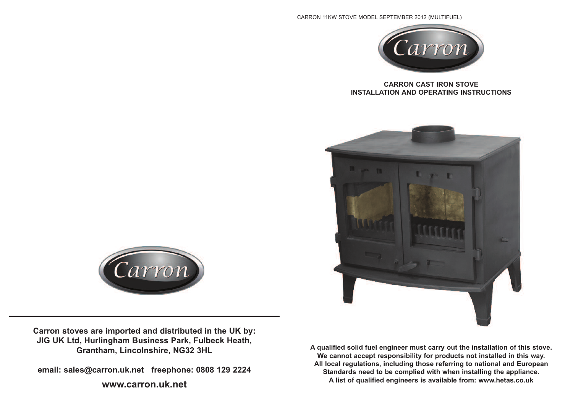#### CARRON 11KW STOVE MODEL SEPTEMBER 2012 (MULTIFUEL)



### **CARRON CAST IRON STOVE INSTALLATION AND OPERATING INSTRUCTIONS**



**A qualified solid fuel engineer must carry out the installation of this stove. We cannot accept responsibility for products not installed in this way. All local regulations, including those referring to national and European Standards need to be complied with when installing the appliance. A list of qualified engineers is available from: www.hetas.co.uk**



**Carron stoves are imported and distributed in the UK by: JIG UK Ltd, Hurlingham Business Park, Fulbeck Heath, Grantham, Lincolnshire, NG32 3HL**

**email: sales@carron.uk.net freephone: 0808 129 2224**

## **www.carron.uk.net**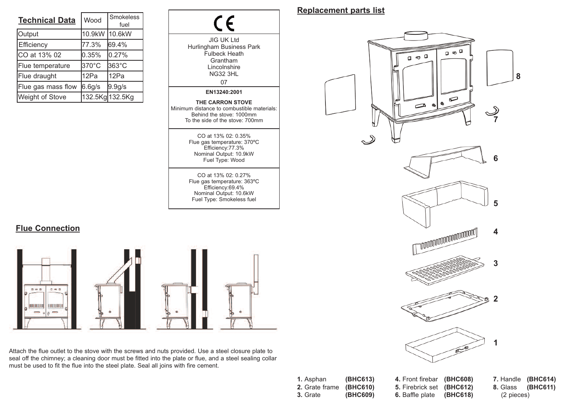| <b>Technical Data</b>  | Wood   | <b>Smokeless</b><br>fuel |  |
|------------------------|--------|--------------------------|--|
| Output                 | 10.9kW | 10.6kW                   |  |
| Efficiency             | 77.3%  | 69.4%                    |  |
| CO at 13% 02           | 0.35%  | 0.27%                    |  |
| Flue temperature       | 370°C  | 363°C                    |  |
| Flue draught           | 12Pa   | 12Pa                     |  |
| Flue gas mass flow     | 6.6g/s | 9.9g/s                   |  |
| <b>Weight of Stove</b> |        | 132.5Kg 132.5Kg          |  |

**Flue Connection**

 $\Box \equiv \Box$ 

**UUUUUUUU** 

 $\Box \bullet \Box$ 

**UUULUUU**  $\equiv$ 



Attach the flue outlet to the stove with the screws and nuts provided. Use a steel closure plate to seal off the chimney; a cleaning door must be fitted into the plate or flue, and a steel sealing collar must be used to fit the flue into the steel plate. Seal all joins with fire cement.

# **Replacement parts list**



| <b>1.</b> Asphan        | (BHC613) | 4. Front firebar (BHC608) |            | 7. Handle (BHC614)       |
|-------------------------|----------|---------------------------|------------|--------------------------|
| 2. Grate frame (BHC610) |          | 5. Firebrick set (BHC612) |            | <b>8. Glass (BHC611)</b> |
| <b>3.</b> Grate         | (BHC609) | 6. Baffle plate (BHC618)  | (2 pieces) |                          |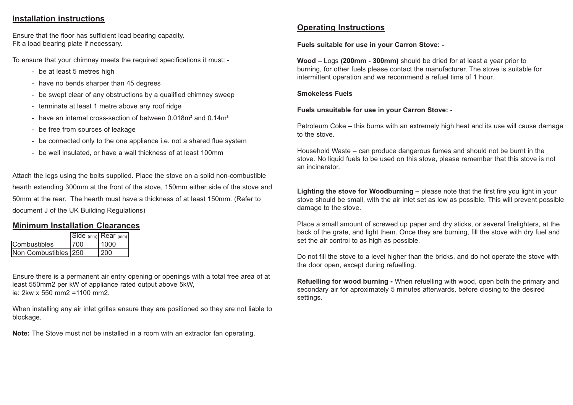## **Installation instructions**

Ensure that the floor has sufficient load bearing capacity. Fit a load bearing plate if necessary.

To ensure that your chimney meets the required specifications it must: -

- be at least 5 metres high
- have no bends sharper than 45 degrees
- be swept clear of any obstructions by a qualified chimney sweep
- terminate at least 1 metre above any roof ridge
- have an internal cross-section of between 0.018m**<sup>2</sup>** and 0.14m**<sup>2</sup>**
- be free from sources of leakage
- be connected only to the one appliance i.e. not a shared flue system
- be well insulated, or have a wall thickness of at least 100mm

Attach the legs using the bolts supplied. Place the stove on a solid non-combustible hearth extending 300mm at the front of the stove, 150mm either side of the stove and 50mm at the rear. The hearth must have a thickness of at least 150mm. (Refer to document J of the UK Building Regulations)

# **Minimum Installation Clearances**

|                      |      | $\boxed{\text{Side (mm)}}$ Rear $\text{(mm)}$ |
|----------------------|------|-----------------------------------------------|
| lCombustibles        | 1700 | 1000                                          |
| Non Combustibles 250 |      | 200                                           |

Ensure there is a permanent air entry opening or openings with a total free area of at least 550mm2 per kW of appliance rated output above 5kW, ie: 2kw x 550 mm2 =1100 mm2.

When installing any air inlet grilles ensure they are positioned so they are not liable to blockage.

**Note:** The Stove must not be installed in a room with an extractor fan operating.

# **Operating Instructions**

**Fuels suitable for use in your Carron Stove: -**

**Wood –** Logs **(200mm - 300mm)** should be dried for at least a year prior to burning, for other fuels please contact the manufacturer. The stove is suitable for intermittent operation and we recommend a refuel time of 1 hour.

### **Smokeless Fuels**

### **Fuels unsuitable for use in your Carron Stove: -**

Petroleum Coke – this burns with an extremely high heat and its use will cause damage to the stove.

Household Waste – can produce dangerous fumes and should not be burnt in the stove. No liquid fuels to be used on this stove, please remember that this stove is not an incinerator.

**Lighting the stove for Woodburning –** please note that the first fire you light in your stove should be small, with the air inlet set as low as possible. This will prevent possible damage to the stove.

Place a small amount of screwed up paper and dry sticks, or several firelighters, at the back of the grate, and light them. Once they are burning, fill the stove with dry fuel and set the air control to as high as possible.

Do not fill the stove to a level higher than the bricks, and do not operate the stove with the door open, except during refuelling.

**Refuelling for wood burning -** When refuelling with wood, open both the primary and secondary air for aproximately 5 minutes afterwards, before closing to the desired settings.